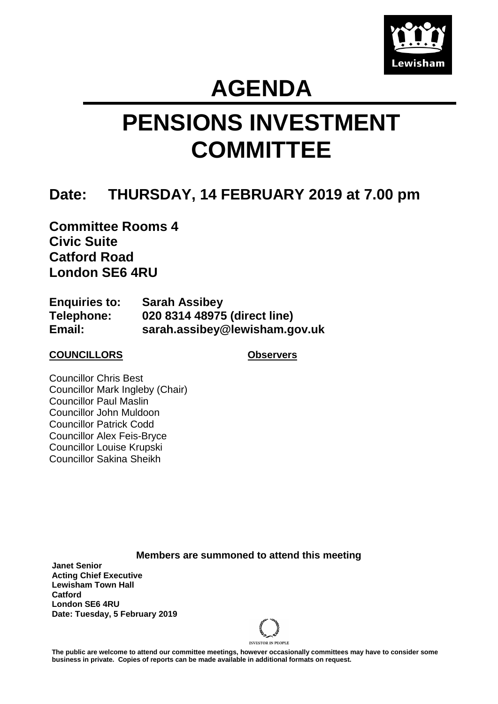

## **AGENDA**

# **PENSIONS INVESTMENT COMMITTEE**

### **Date: THURSDAY, 14 FEBRUARY 2019 at 7.00 pm**

**Committee Rooms 4 Civic Suite Catford Road London SE6 4RU**

| <b>Enquiries to:</b> | <b>Sarah Assibey</b>          |
|----------------------|-------------------------------|
| Telephone:           | 020 8314 48975 (direct line)  |
| Email:               | sarah.assibey@lewisham.gov.uk |

#### **COUNCILLORS**

**Observers**

Councillor Chris Best Councillor Mark Ingleby (Chair) Councillor Paul Maslin Councillor John Muldoon Councillor Patrick Codd Councillor Alex Feis-Bryce Councillor Louise Krupski Councillor Sakina Sheikh

**Members are summoned to attend this meeting**

**Janet Senior Acting Chief Executive Lewisham Town Hall Catford London SE6 4RU Date: Tuesday, 5 February 2019**



**INVESTO** 

**The public are welcome to attend our committee meetings, however occasionally committees may have to consider some business in private. Copies of reports can be made available in additional formats on request.**